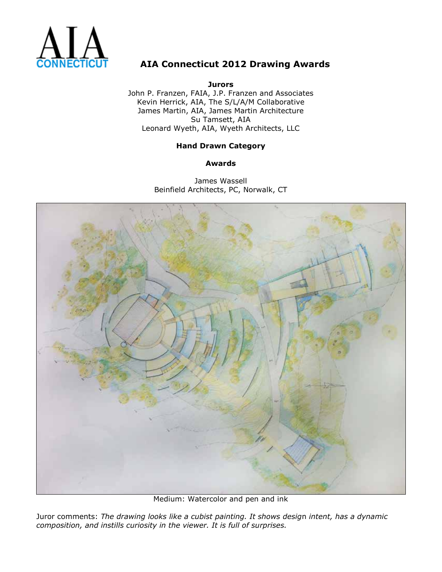

**Jurors** John P. Franzen, FAIA, J.P. Franzen and Associates Kevin Herrick, AIA, The S/L/A/M Collaborative James Martin, AIA, James Martin Architecture Su Tamsett, AIA Leonard Wyeth, AIA, Wyeth Architects, LLC

### **Hand Drawn Category**

**Awards**

James Wassell Beinfield Architects, PC, Norwalk, CT



Medium: Watercolor and pen and ink

Juror comments: *The drawing looks like a cubist painting. It shows desig*n *intent, has a dynamic composition, and instills curiosity in the viewer. It is full of surprises.*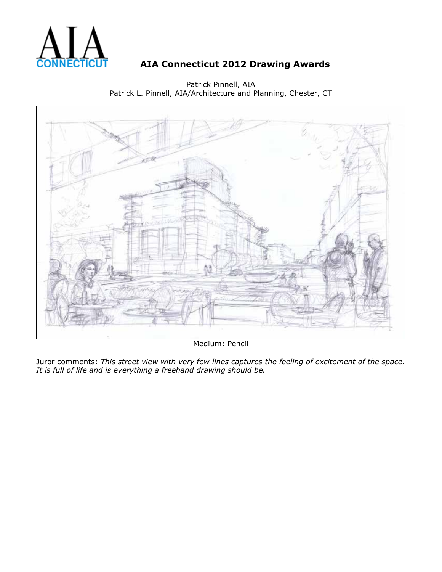

Patrick Pinnell, AIA Patrick L. Pinnell, AIA/Architecture and Planning, Chester, CT



Medium: Pencil

Juror comments: *This street view with very few lines captures the feeling of excitement of the space. It is full of life and is everything a freehand drawing should be.*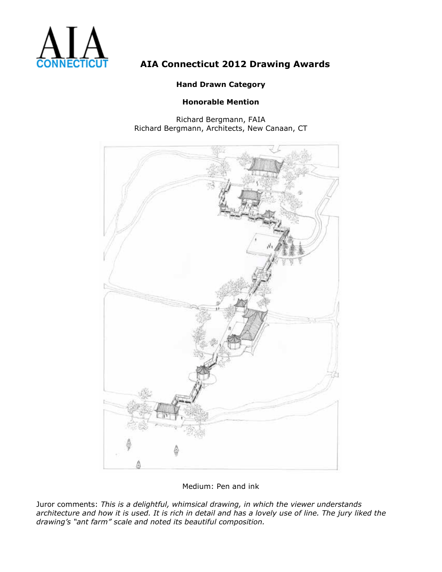

### **Hand Drawn Category**

### **Honorable Mention**

Richard Bergmann, FAIA Richard Bergmann, Architects, New Canaan, CT



Medium: Pen and ink

Juror comments: *This is a delightful, whimsical drawing, in which the viewer understands architecture and how it is used. It is rich in detail and has a lovely use of line. The jury liked the drawing's "ant farm" scale and noted its beautiful composition.*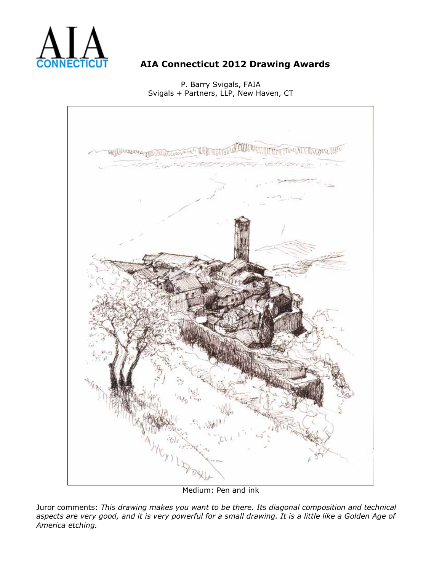

P. Barry Svigals, FAIA Svigals + Partners, LLP, New Haven, CT



Medium: Pen and ink

Juror comments: *This drawing makes you want to be there. Its diagonal composition and technical aspects are very good, and it is very powerful for a small drawing. It is a little like a Golden Age of America etching.*